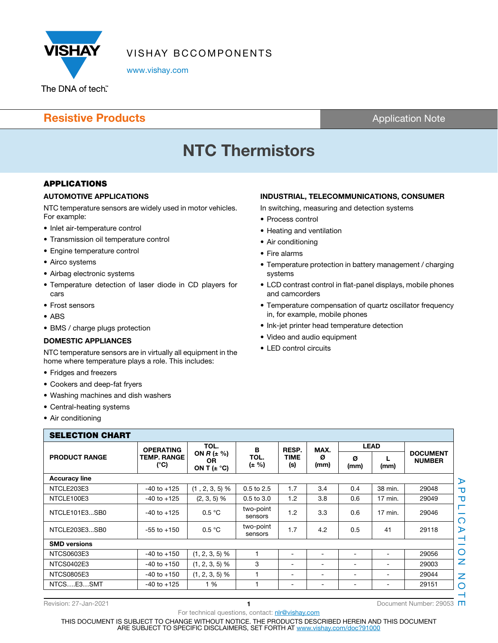

VISHAY BCCOMPONENTS

www.vishay.com

### **Resistive Products Application Note Application Note**

# **NTC Thermistors**

### **APPLICATIONS**

### **AUTOMOTIVE APPLICATIONS**

NTC temperature sensors are widely used in motor vehicles. For example:

- Inlet air-temperature control
- Transmission oil temperature control
- Engine temperature control
- Airco systems
- Airbag electronic systems
- Temperature detection of laser diode in CD players for cars
- Frost sensors
- ABS
- BMS / charge plugs protection

### **DOMESTIC APPLIANCES**

NTC temperature sensors are in virtually all equipment in the home where temperature plays a role. This includes:

- Fridges and freezers
- Cookers and deep-fat fryers
- Washing machines and dish washers
- Central-heating systems
- Air conditioning

### **INDUSTRIAL, TELECOMMUNICATIONS, CONSUMER**

In switching, measuring and detection systems

- Process control
- Heating and ventilation
- Air conditioning
- Fire alarms
- Temperature protection in battery management / charging systems
- LCD contrast control in flat-panel displays, mobile phones and camcorders
- Temperature compensation of quartz oscillator frequency in, for example, mobile phones
- Ink-jet printer head temperature detection
- Video and audio equipment
- LED control circuits

| <b>SELECTION CHART</b> | <b>OPERATING</b>           | TOL.                                                                  | в                    | RESP.                        | MAX.                         | <b>LEAD</b>     |         |                                  |
|------------------------|----------------------------|-----------------------------------------------------------------------|----------------------|------------------------------|------------------------------|-----------------|---------|----------------------------------|
| <b>PRODUCT RANGE</b>   | <b>TEMP. RANGE</b><br>(°C) | ON $R \left( \pm \frac{1}{2} \right)$<br><b>OR</b><br>ON T $(\pm$ °C) | TOL.<br>(± %)        | <b>TIME</b><br>(s)           | Ø<br>(mm)                    | Ø<br>(mm)       | (mm)    | <b>DOCUMENT</b><br><b>NUMBER</b> |
| <b>Accuracy line</b>   |                            |                                                                       |                      |                              |                              |                 |         |                                  |
| NTCLE203E3             | $-40$ to $+125$            | $(1, 2, 3, 5)$ %                                                      | 0.5 to 2.5           | 1.7                          | 3.4                          | 0.4             | 38 min. | 29048                            |
| NTCLE100E3             | $-40$ to $+125$            | $(2, 3, 5)$ %                                                         | $0.5$ to $3.0$       | 1.2                          | 3.8                          | 0.6             | 17 min. | 29049                            |
| NTCLE101E3SB0          | $-40$ to $+125$            | 0.5 °C                                                                | two-point<br>sensors | 1.2                          | 3.3                          | 0.6             | 17 min. | 29046                            |
| NTCLE203E3SB0          | $-55$ to $+150$            | 0.5 °C                                                                | two-point<br>sensors | 1.7                          | 4.2                          | 0.5             | 41      | 29118                            |
| <b>SMD versions</b>    |                            |                                                                       |                      |                              |                              |                 |         |                                  |
| NTCS0603E3             | $-40$ to $+150$            | $(1, 2, 3, 5)$ %                                                      |                      | $\blacksquare$               | ۰                            |                 |         | 29056                            |
| <b>NTCS0402E3</b>      | $-40$ to $+150$            | $(1, 2, 3, 5)$ %                                                      | 3                    | $\overline{\phantom{a}}$     | ۰                            |                 |         | 29003                            |
| <b>NTCS0805E3</b>      | $-40$ to $+150$            | $(1, 2, 3, 5)$ %                                                      |                      | $\qquad \qquad \blacksquare$ | ۰                            | ۰               | ۰       | 29044                            |
| NTCSE3SMT              | $-40$ to $+125$            | 1 %                                                                   |                      | $\overline{\phantom{a}}$     | $\qquad \qquad \blacksquare$ | $\qquad \qquad$ | ۰.      | 29151                            |

For technical questions, contact: nlr@vishay.com

Revision: 27-Jan-2021 **1** Document Number: 29053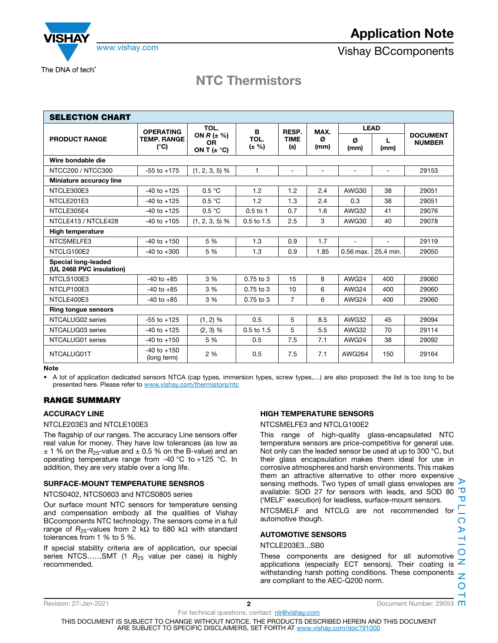

The DNA of tech"

### **NTC Thermistors**

| <b>SELECTION CHART</b>                          |                                                         |                                                                         |                                  |                             |                   |               |           |                                  |
|-------------------------------------------------|---------------------------------------------------------|-------------------------------------------------------------------------|----------------------------------|-----------------------------|-------------------|---------------|-----------|----------------------------------|
|                                                 | <b>OPERATING</b><br><b>TEMP. RANGE</b><br>$(^{\circ}C)$ | TOL.<br>ON $R \left( \pm \frac{6}{2} \right)$<br>OR.<br>ON T $(\pm$ °C) | в<br>TOL.<br>$(\pm \frac{9}{6})$ | RESP.<br><b>TIME</b><br>(s) | MAX.<br>Ø<br>(mm) | <b>LEAD</b>   |           |                                  |
| <b>PRODUCT RANGE</b>                            |                                                         |                                                                         |                                  |                             |                   | Ø<br>(mm)     | L<br>(mm) | <b>DOCUMENT</b><br><b>NUMBER</b> |
| Wire bondable die                               |                                                         |                                                                         |                                  |                             |                   |               |           |                                  |
| NTCC200 / NTCC300                               | $-55$ to $+175$                                         | $(1, 2, 3, 5)$ %                                                        | $\mathbf{1}$                     | $\overline{\phantom{a}}$    | $\sim$            | ۰             | ۰         | 29153                            |
| Miniature accuracy line                         |                                                         |                                                                         |                                  |                             |                   |               |           |                                  |
| NTCLE300E3                                      | $-40$ to $+125$                                         | 0.5 °C                                                                  | 1.2                              | 1.2                         | 2.4               | AWG30         | 38        | 29051                            |
| NTCLE201E3                                      | $-40$ to $+125$                                         | 0.5 °C                                                                  | 1.2                              | 1.3                         | 2.4               | 0.3           | 38        | 29051                            |
| NTCLE305E4                                      | $-40$ to $+125$                                         | 0.5 °C                                                                  | $0.5$ to 1                       | 0.7                         | 1.6               | AWG32         | 41        | 29076                            |
| NTCLE413 / NTCLE428                             | $-40$ to $+105$                                         | $(1, 2, 3, 5)$ %                                                        | $0.5$ to $1.5$                   | 2.5                         | 3                 | AWG30         | 40        | 29078                            |
| <b>High temperature</b>                         |                                                         |                                                                         |                                  |                             |                   |               |           |                                  |
| NTCSMELFE3                                      | $-40$ to $+150$                                         | 5 %                                                                     | 1.3                              | 0.9                         | 1.7               | $\sim$        | ÷         | 29119                            |
| NTCLG100E2                                      | $-40$ to $+300$                                         | 5 %                                                                     | 1.3                              | 0.9                         | 1.85              | 0.56 max.     | 25.4 min. | 29050                            |
| Special long-leaded<br>(UL 2468 PVC insulation) |                                                         |                                                                         |                                  |                             |                   |               |           |                                  |
| NTCLS100E3                                      | $-40$ to $+85$                                          | 3 %                                                                     | $0.75$ to $3$                    | 15                          | 8                 | AWG24         | 400       | 29060                            |
| NTCLP100E3                                      | $-40$ to $+85$                                          | 3%                                                                      | $0.75$ to 3                      | 10                          | 6                 | AWG24         | 400       | 29060                            |
| NTCLE400E3                                      | $-40$ to $+85$                                          | 3 %                                                                     | 0.75 to 3                        | $\overline{7}$              | 6                 | AWG24         | 400       | 29060                            |
| <b>Ring tongue sensors</b>                      |                                                         |                                                                         |                                  |                             |                   |               |           |                                  |
| NTCALUG02 series                                | $-55$ to $+125$                                         | $(1, 2)$ %                                                              | 0.5                              | 5                           | 8.5               | AWG32         | 45        | 29094                            |
| NTCALUG03 series                                | $-40$ to $+125$                                         | $(2, 3)$ %                                                              | 0.5 to 1.5                       | 5                           | 5.5               | AWG32         | 70        | 29114                            |
| NTCALUG01 series                                | $-40$ to $+150$                                         | 5 %                                                                     | 0.5                              | 7.5                         | 7.1               | AWG24         | 38        | 29092                            |
| NTCALUG01T                                      | $-40$ to $+150$<br>(long term)                          | 2%                                                                      | 0.5                              | 7.5                         | 7.1               | <b>AWG264</b> | 150       | 29164                            |

**Note**

• A lot of application dedicated sensors NTCA (cap types, immersion types, screw types,…) are also proposed: the list is too long to be presented here. Please refer to www.vishay.com/thermistors/ntc

### **RANGE SUMMARY**

### **ACCURACY LINE**

### NTCLE203E3 and NTCLE100E3

The flagship of our ranges. The accuracy Line sensors offer real value for money. They have low tolerances (as low as  $\pm$  1 % on the  $R_{25}$ -value and  $\pm$  0.5 % on the B-value) and an operating temperature range from -40 °C to +125 °C. In addition, they are very stable over a long life.

### **SURFACE-MOUNT TEMPERATURE SENSROS**

#### NTCS0402, NTCS0603 and NTCS0805 series

Our surface mount NTC sensors for temperature sensing and compensation embody all the qualities of Vishay BCcomponents NTC technology. The sensors come in a full range of  $R_{25}$ -values from 2 kΩ to 680 kΩ with standard tolerances from 1 % to 5 %.

If special stability criteria are of application, our special series NTCS......SMT (1  $R_{25}$  value per case) is highly recommended.

### **HIGH TEMPERATURE SENSORS**

#### NTCSMELFE3 and NTCLG100E2

This range of high-quality glass-encapsulated NTC temperature sensors are price-competitive for general use. Not only can the leaded sensor be used at up to 300 °C, but their glass encapsulation makes them ideal for use in corrosive atmospheres and harsh environments. This makes them an attractive alternative to other more expensive sensing methods. Two types of small glass envelopes are  $\triangleright$ available: SOD 27 for sensors with leads, and SOD 80 ('MELF' execution) for leadless, surface-mount sensors.

NTCSMELF and NTCLG are not recommended for automotive though.

### **AUTOMOTIVE SENSORS**

### NTCLE203E3...SB0

These components are designed for all automotive applications (especially ECT sensors). Their coating is withstanding harsh potting conditions. These components are compliant to the AEC-Q200 norm.

Revision: 27-Jan-2021 **2** Document Number: 29053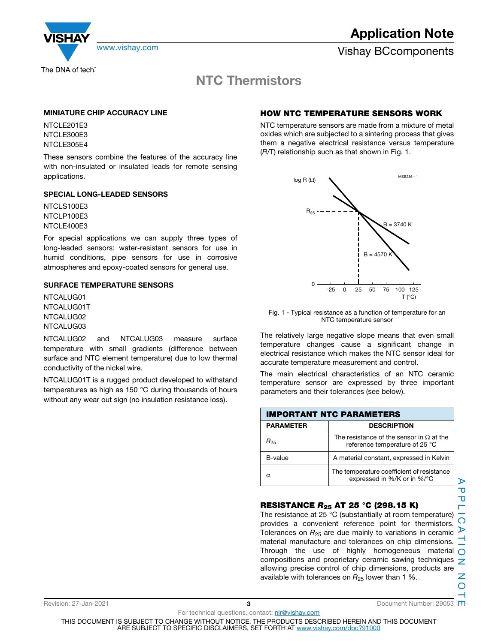

**Application Note**

www.vishay.com **Vishay BCcomponents** 

### **NTC Thermistors**

### **MINIATURE CHIP ACCURACY LINE**

**NTCLE201E3** NTCLE300E3 NTCLE305E4

These sensors combine the features of the accuracy line with non-insulated or insulated leads for remote sensing applications.

### **SPECIAL LONG-LEADED SENSORS**

NTCLS100E3 NTCLP100E3 NTCL F400F3

For special applications we can supply three types of long-leaded sensors: water-resistant sensors for use in humid conditions, pipe sensors for use in corrosive atmospheres and epoxy-coated sensors for general use.

### **SURFACE TEMPERATURE SENSORS**

NTCALUG01 NTCALUG01T NTCALUG02 NTCALUG03

NTCALUG02 and NTCALUG03 measure surface temperature with small gradients (difference between surface and NTC element temperature) due to low thermal conductivity of the nickel wire.

NTCALUG01T is a rugged product developed to withstand temperatures as high as 150 °C during thousands of hours without any wear out sign (no insulation resistance loss).

### **HOW NTC TEMPERATURE SENSORS WORK**

NTC temperature sensors are made from a mixture of metal oxides which are subjected to a sintering process that gives them a negative electrical resistance versus temperature (R/T) relationship such as that shown in Fig. 1.



Fig. 1 - Typical resistance as a function of temperature for an NTC temperature sensor

The relatively large negative slope means that even small temperature changes cause a significant change in electrical resistance which makes the NTC sensor ideal for accurate temperature measurement and control.

The main electrical characteristics of an NTC ceramic temperature sensor are expressed by three important parameters and their tolerances (see below).

| <b>IMPORTANT NTC PARAMETERS</b> |                                                                                   |  |  |  |
|---------------------------------|-----------------------------------------------------------------------------------|--|--|--|
| <b>PARAMETER</b>                | <b>DESCRIPTION</b>                                                                |  |  |  |
| R <sub>25</sub>                 | The resistance of the sensor in $\Omega$ at the<br>reference temperature of 25 °C |  |  |  |
| B-value                         | A material constant, expressed in Kelvin                                          |  |  |  |
| α                               | The temperature coefficient of resistance<br>expressed in %/K or in %/°C          |  |  |  |

### **RESISTANCE** *R***25 AT 25 °C (298.15 K)**

The resistance at 25 °C (substantially at room temperature) provides a convenient reference point for thermistors. Tolerances on  $R_{25}$  are due mainly to variations in ceramic  $\triangleright$ material manufacture and tolerances on chip dimensions. Through the use of highly homogeneous material  $\cap$ compositions and proprietary ceramic sawing techniques  $\overline{z}$ allowing precise control of chip dimensions, products are available with tolerances on  $R_{25}$  lower than 1 %.

For technical questions, contact: nlr@vishay.com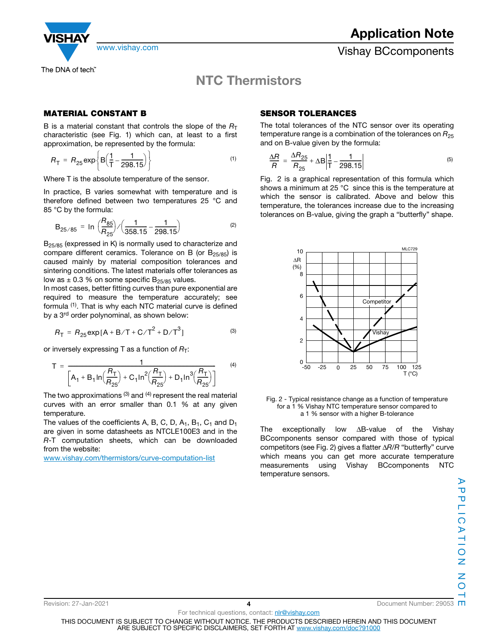The DNA of tech"

www.vishay.com **Vishay BCcomponents** 

### **NTC Thermistors**

### **MATERIAL CONSTANT B**

B is a material constant that controls the slope of the  $R<sub>T</sub>$ characteristic (see Fig. 1) which can, at least to a first approximation, be represented by the formula:

$$
R_{\rm T} = R_{25} \exp \left\{ B \left( \frac{1}{\rm T} - \frac{1}{298.15} \right) \right\} \tag{1}
$$

Where T is the absolute temperature of the sensor.

In practice, B varies somewhat with temperature and is therefore defined between two temperatures 25 °C and 85 °C by the formula:

$$
B_{25/85} = \ln \left( \frac{R_{85}}{R_{25}} \right) / \left( \frac{1}{358.15} - \frac{1}{298.15} \right) \tag{2}
$$

 $B_{25/85}$  (expressed in K) is normally used to characterize and compare different ceramics. Tolerance on B (or  $B_{25/85}$ ) is caused mainly by material composition tolerances and sintering conditions. The latest materials offer tolerances as low as  $\pm$  0.3 % on some specific B<sub>25/85</sub> values.

In most cases, better fitting curves than pure exponential are required to measure the temperature accurately; see formula (1). That is why each NTC material curve is defined by a 3<sup>rd</sup> order polynominal, as shown below:

$$
R_{\rm T} = R_{25} \exp[A + B/T + C/T^2 + D/T^3]
$$
 (3)

or inversely expressing T as a function of  $R_T$ :

$$
T = \frac{1}{\left[A_1 + B_1 \ln\left(\frac{R_T}{R_{25}}\right) + C_1 \ln^2\left(\frac{R_T}{R_{25}}\right) + D_1 \ln^3\left(\frac{R_T}{R_{25}}\right)\right]}
$$
(4)

The two approximations  $(3)$  and  $(4)$  represent the real material curves with an error smaller than 0.1 % at any given temperature.

The values of the coefficients A, B, C, D,  $A_1$ ,  $B_1$ ,  $C_1$  and  $D_1$ are given in some datasheets as NTCLE100E3 and in the R-T computation sheets, which can be downloaded from the website:

www.vishay.com/thermistors/curve-computation-list

### **SENSOR TOLERANCES**

The total tolerances of the NTC sensor over its operating temperature range is a combination of the tolerances on  $R_{25}$ and on B-value given by the formula:

$$
\frac{\Delta R}{R} = \frac{\Delta R_{25}}{R_{25}} + \Delta B \left| \frac{1}{T} - \frac{1}{298.15} \right| \tag{5}
$$

Fig. 2 is a graphical representation of this formula which shows a minimum at 25 °C since this is the temperature at which the sensor is calibrated. Above and below this temperature, the tolerances increase due to the increasing tolerances on B-value, giving the graph a "butterfly" shape.



Fig. 2 - Typical resistance change as a function of temperature for a 1 % Vishay NTC temperature sensor compared to a 1 % sensor with a higher B-tolerance

The exceptionally low ΔB-value of the Vishay BCcomponents sensor compared with those of typical competitors (see Fig. 2) gives a flatter ΔR/R "butterfly" curve which means you can get more accurate temperature measurements using Vishay BCcomponents NTC temperature sensors.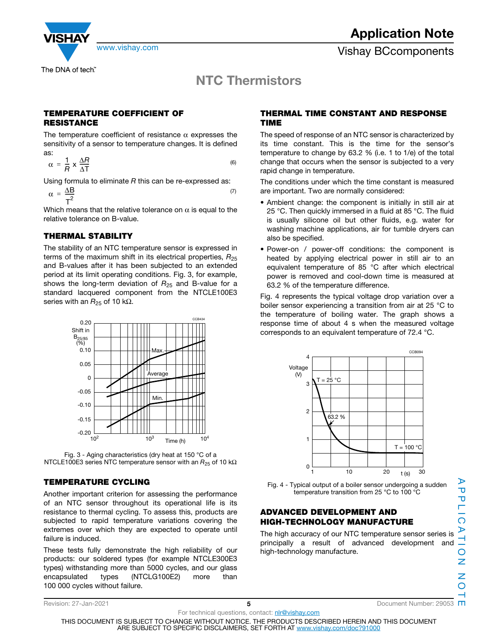

**NTC Thermistors**

### **TEMPERATURE COEFFICIENT OF RESISTANCE**

The temperature coefficient of resistance  $\alpha$  expresses the sensitivity of a sensor to temperature changes. It is defined as:

$$
\alpha = \frac{1}{R} \times \frac{\Delta R}{\Delta T} \tag{6}
$$

Using formula to eliminate  $R$  this can be re-expressed as:

$$
\alpha = \frac{\Delta B}{T^2} \tag{7}
$$

Which means that the relative tolerance on  $\alpha$  is equal to the relative tolerance on B-value.

### **THERMAL STABILITY**

The stability of an NTC temperature sensor is expressed in terms of the maximum shift in its electrical properties,  $R_{25}$ and B-values after it has been subjected to an extended period at its limit operating conditions. Fig. 3, for example, shows the long-term deviation of  $R_{25}$  and B-value for a standard lacquered component from the NTCLE100E3 series with an  $R_{25}$  of 10 kΩ.



Fig. 3 - Aging characteristics (dry heat at 150 °C of a NTCLE100E3 series NTC temperature sensor with an  $R_{25}$  of 10 kΩ

### **TEMPERATURE CYCLING**

Another important criterion for assessing the performance of an NTC sensor throughout its operational life is its resistance to thermal cycling. To assess this, products are subjected to rapid temperature variations covering the extremes over which they are expected to operate until failure is induced.

These tests fully demonstrate the high reliability of our products: our soldered types (for example NTCLE300E3 types) withstanding more than 5000 cycles, and our glass encapsulated types (NTCLG100E2) more than 100 000 cycles without failure.

### **THERMAL TIME CONSTANT AND RESPONSE TIME**

The speed of response of an NTC sensor is characterized by its time constant. This is the time for the sensor's temperature to change by 63.2 % (i.e. 1 to 1/e) of the total change that occurs when the sensor is subjected to a very rapid change in temperature.

The conditions under which the time constant is measured are important. Two are normally considered:

- Ambient change: the component is initially in still air at 25 °C. Then quickly immersed in a fluid at 85 °C. The fluid is usually silicone oil but other fluids, e.g. water for washing machine applications, air for tumble dryers can also be specified.
- Power-on / power-off conditions: the component is heated by applying electrical power in still air to an equivalent temperature of 85 °C after which electrical power is removed and cool-down time is measured at 63.2 % of the temperature difference.

Fig. 4 represents the typical voltage drop variation over a boiler sensor experiencing a transition from air at 25 °C to the temperature of boiling water. The graph shows a response time of about 4 s when the measured voltage corresponds to an equivalent temperature of 72.4 °C.



Fig. 4 - Typical output of a boiler sensor undergoing a sudden temperature transition from 25 °C to 100 °C

### **ADVANCED DEVELOPMENT AND HIGH-TECHNOLOGY MANUFACTURE**

The high accuracy of our NTC temperature sensor series is principally a result of advanced development and high-technology manufacture.

⋗

Revision: 27-Jan-2021 **5** Document Number: 29053

THIS DOCUMENT IS SUBJECT TO CHANGE WITHOUT NOTICE. THE PRODUCTS DESCRIBED HEREIN AND THIS DOCUMENT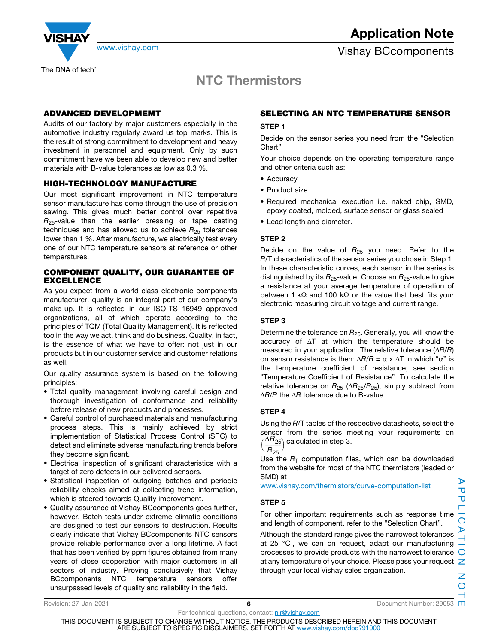

### **NTC Thermistors**

### **ADVANCED DEVELOPMEMT**

Audits of our factory by major customers especially in the automotive industry regularly award us top marks. This is the result of strong commitment to development and heavy investment in personnel and equipment. Only by such commitment have we been able to develop new and better materials with B-value tolerances as low as 0.3 %.

### **HIGH-TECHNOLOGY MANUFACTURE**

Our most significant improvement in NTC temperature sensor manufacture has come through the use of precision sawing. This gives much better control over repetitive  $R_{25}$ -value than the earlier pressing or tape casting techniques and has allowed us to achieve  $R_{25}$  tolerances lower than 1 %. After manufacture, we electrically test every one of our NTC temperature sensors at reference or other temperatures.

### **COMPONENT QUALITY, OUR GUARANTEE OF EXCELLENCE**

As you expect from a world-class electronic components manufacturer, quality is an integral part of our company's make-up. It is reflected in our ISO-TS 16949 approved organizations, all of which operate according to the principles of TQM (Total Quality Management). It is reflected too in the way we act, think and do business. Quality, in fact, is the essence of what we have to offer: not just in our products but in our customer service and customer relations as well.

Our quality assurance system is based on the following principles:

- Total quality management involving careful design and thorough investigation of conformance and reliability before release of new products and processes.
- Careful control of purchased materials and manufacturing process steps. This is mainly achieved by strict implementation of Statistical Process Control (SPC) to detect and eliminate adverse manufacturing trends before they become significant.
- Electrical inspection of significant characteristics with a target of zero defects in our delivered sensors.
- Statistical inspection of outgoing batches and periodic reliability checks aimed at collecting trend information, which is steered towards Quality improvement.
- Quality assurance at Vishay BCcomponents goes further, however. Batch tests under extreme climatic conditions are designed to test our sensors to destruction. Results clearly indicate that Vishay BCcomponents NTC sensors provide reliable performance over a long lifetime. A fact that has been verified by ppm figures obtained from many years of close cooperation with major customers in all sectors of industry. Proving conclusively that Vishay BCcomponents NTC temperature sensors offer unsurpassed levels of quality and reliability in the field.

### **SELECTING AN NTC TEMPERATURE SENSOR**

### **STEP 1**

Decide on the sensor series you need from the "Selection Chart"

Your choice depends on the operating temperature range and other criteria such as:

- Accuracy
- Product size
- Required mechanical execution i.e. naked chip, SMD, epoxy coated, molded, surface sensor or glass sealed
- Lead length and diameter.

### **STEP 2**

Decide on the value of  $R_{25}$  you need. Refer to the R/T characteristics of the sensor series you chose in Step 1. In these characteristic curves, each sensor in the series is distinguished by its  $R_{25}$ -value. Choose an  $R_{25}$ -value to give a resistance at your average temperature of operation of between 1 kΩ and 100 kΩ or the value that best fits your electronic measuring circuit voltage and current range.

### **STEP 3**

Determine the tolerance on  $R_{25}$ . Generally, you will know the accuracy of ΔT at which the temperature should be measured in your application. The relative tolerance  $(\Delta R/R)$ on sensor resistance is then:  $\Delta R/R = \alpha \times \Delta T$  in which "α" is the temperature coefficient of resistance; see section "Temperature Coefficient of Resistance". To calculate the relative tolerance on  $R_{25}$  ( $\Delta R_{25}/R_{25}$ ), simply subtract from ΔR/R the ΔR tolerance due to B-value.

### **STEP 4**

Using the R/T tables of the respective datasheets, select the sensor from the series meeting your requirements on  $\left(\frac{\Delta R_{25}}{R_{25}}\right)$  calculated in step 3.

 $\sqrt{R_{25}}$ 

Use the  $R<sub>T</sub>$  computation files, which can be downloaded from the website for most of the NTC thermistors (leaded or SMD) at

www.vishay.com/thermistors/curve-computation-list

### **STEP 5**

For other important requirements such as response time and length of component, refer to the "Selection Chart".

Although the standard range gives the narrowest tolerances at 25 °C , we can on request, adapt our manufacturing processes to provide products with the narrowest tolerance  $\bigcirc$ at any temperature of your choice. Please pass your request  $\geq$ through your local Vishay sales organization.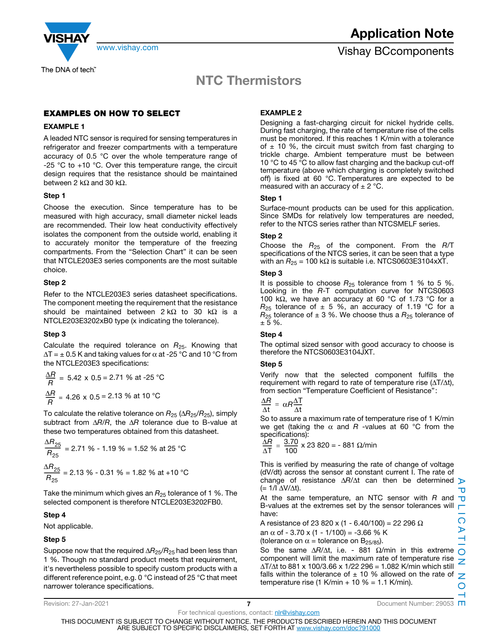

The DNA of tech"

### **NTC Thermistors**

### **EXAMPLES ON HOW TO SELECT**

### **EXAMPLE 1**

A leaded NTC sensor is required for sensing temperatures in refrigerator and freezer compartments with a temperature accuracy of 0.5 °C over the whole temperature range of -25  $^{\circ}$ C to +10  $^{\circ}$ C. Over this temperature range, the circuit design requires that the resistance should be maintained between 2 kΩ and 30 kΩ.

### **Step 1**

Choose the execution. Since temperature has to be measured with high accuracy, small diameter nickel leads are recommended. Their low heat conductivity effectively isolates the component from the outside world, enabling it to accurately monitor the temperature of the freezing compartments. From the "Selection Chart" it can be seen that NTCLE203E3 series components are the most suitable choice.

### **Step 2**

Refer to the NTCLE203E3 series datasheet specifications. The component meeting the requirement that the resistance should be maintained between  $2 kΩ$  to 30 kΩ is a NTCLE203E3202xB0 type (x indicating the tolerance).

### **Step 3**

Calculate the required tolerance on  $R_{25}$ . Knowing that  $\Delta T = \pm 0.5$  K and taking values for  $\alpha$  at -25 °C and 10 °C from the NTCLE203E3 specifications:

$$
\frac{\Delta R}{R} = 5.42 \times 0.5 = 2.71 \% \text{ at } -25 \text{ °C}
$$
\n
$$
\frac{\Delta R}{R} = 4.26 \times 0.5 = 2.13 \% \text{ at } 10 \text{ °C}
$$

To calculate the relative tolerance on  $R_{25}$  ( $\Delta R_{25}/R_{25}$ ), simply subtract from  $\Delta R/R$ , the  $\Delta R$  tolerance due to B-value at these two temperatures obtained from this datasheet.

$$
\frac{\Delta R_{25}}{R_{25}} = 2.71\% - 1.19\% = 1.52\% \text{ at } 25\text{ °C}
$$

$$
\frac{\Delta R_{25}}{R_{25}} = 2.13\% - 0.31\% = 1.82\% \text{ at } +10\text{ °C}
$$

Take the minimum which gives an  $R_{25}$  tolerance of 1 %. The selected component is therefore NTCLE203E3202FB0.

### **Step 4**

Not applicable.

### **Step 5**

Suppose now that the required  $\Delta R_{25}/R_{25}$  had been less than 1 %. Though no standard product meets that requirement, it's nevertheless possible to specify custom products with a different reference point, e.g. 0 °C instead of 25 °C that meet narrower tolerance specifications.

### **EXAMPLE 2**

Designing a fast-charging circuit for nickel hydride cells. During fast charging, the rate of temperature rise of the cells must be monitored. If this reaches 1 K/min with a tolerance of  $\pm$  10 %, the circuit must switch from fast charging to trickle charge. Ambient temperature must be between 10 °C to 45 °C to allow fast charging and the backup cut-off temperature (above which charging is completely switched off) is fixed at 60 °C. Temperatures are expected to be measured with an accuracy of  $\pm$  2 °C.

### **Step 1**

Surface-mount products can be used for this application. Since SMDs for relatively low temperatures are needed, refer to the NTCS series rather than NTCSMELF series.

### **Step 2**

Choose the  $R_{25}$  of the component. From the  $R/T$ specifications of the NTCS series, it can be seen that a type with an  $R_{25}$  = 100 kΩ is suitable i.e. NTCS0603E3104xXT.

### **Step 3**

It is possible to choose  $R_{25}$  tolerance from 1 % to 5 %. Looking in the R-T computation curve for NTCS0603 100 kΩ, we have an accuracy at 60 °C of 1.73 °C for a  $R_{25}$  tolerance of  $\pm$  5 %, an accuracy of 1.19 °C for a  $R_{25}$  tolerance of  $\pm$  3 %. We choose thus a  $R_{25}$  tolerance of  $± 5 \%$ .

### **Step 4**

The optimal sized sensor with good accuracy to choose is therefore the NTCS0603E3104JXT.

#### **Step 5**

Verify now that the selected component fulfills the requirement with regard to rate of temperature rise  $(\Delta T/\Delta t)$ , from section "Temperature Coefficient of Resistance" :

$$
\frac{\Delta R}{\Delta t} = \alpha R \frac{\Delta T}{\Delta t}
$$

So to assure a maximum rate of temperature rise of 1 K/min we get (taking the  $\alpha$  and R -values at 60 °C from the specifications):

 $\frac{\Delta R}{\Delta T} = \frac{3.70}{100} \times 23800 = -881 Ω/min$ 

This is verified by measuring the rate of change of voltage (dV/dt) across the sensor at constant current I. The rate of change of resistance  $\Delta R/\Delta t$  can then be determined  $\triangleright$  $(= 1/l \Delta V/\Delta t)$ .

At the same temperature, an NTC sensor with  $R$  and  $\overline{U}$ B-values at the extremes set by the sensor tolerances will  $\blacksquare$ have:

A resistance of 23 820 x (1 - 6.40/100) = 22 296 Ω an  $\alpha$  of - 3.70 x (1 - 1/100) = -3.66 % K (tolerance on  $\alpha$  = tolerance on B<sub>25/85</sub>).

So the same  $\Delta R/\Delta t$ , i.e. - 881  $\Omega/m$ in in this extreme  $\bigcap$ component will limit the maximum rate of temperature rise ΔT/Δt to 881 x 100/3.66 x 1/22 296 = 1.082 K/min which still falls within the tolerance of  $\pm$  10 % allowed on the rate of temperature rise (1 K/min + 10 % = 1.1 K/min).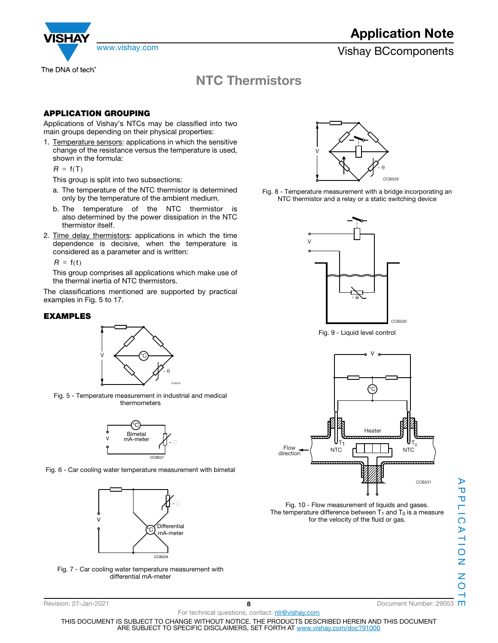

www.vishay.com **Vishay.com** Vishay BCcomponents

## **NTC Thermistors**

### **APPLICATION GROUPING**

Applications of Vishay's NTCs may be classified into two main groups depending on their physical properties:

1. Temperature sensors: applications in which the sensitive change of the resistance versus the temperature is used, shown in the formula:

 $R = f(T)$ 

This group is split into two subsections:

- a. The temperature of the NTC thermistor is determined only by the temperature of the ambient medium.
- b. The temperature of the NTC thermistor is also determined by the power dissipation in the NTC thermistor itself.
- 2. Time delay thermistors: applications in which the time dependence is decisive, when the temperature is considered as a parameter and is written:

 $R = f(t)$ 

This group comprises all applications which make use of the thermal inertia of NTC thermistors.

The classifications mentioned are supported by practical examples in Fig. 5 to 17.

### **EXAMPLES**



Fig. 5 - Temperature measurement in industrial and medical thermometers



Fig. 6 - Car cooling water temperature measurement with bimetal



Fig. 7 - Car cooling water temperature measurement with differential mA-meter



Fig. 8 - Temperature measurement with a bridge incorporating an NTC thermistor and a relay or a static switching device



Fig. 9 - Liquid level control



Fig. 10 - Flow measurement of liquids and gases. The temperature difference between  $T_1$  and  $T_0$  is a measure for the velocity of the fluid or gas.

 $\triangleright$ 

For technical questions, contact: nir@vishay.com THIS DOCUMENT IS SUBJECT TO CHANGE WITHOUT NOTICE. THE PRODUCTS DESCRIBED HEREIN AND THIS DOCUMENT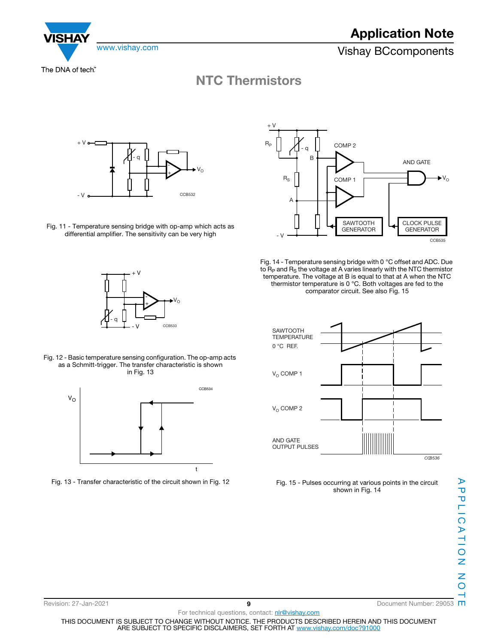

The DNA of tech"

ISHA

### **NTC Thermistors**



Fig. 11 - Temperature sensing bridge with op-amp which acts as differential amplifier. The sensitivity can be very high





- Fig. 14 Temperature sensing bridge with 0 °C offset and ADC. Due to  $R<sub>P</sub>$  and  $R<sub>S</sub>$  the voltage at A varies linearly with the NTC thermistor temperature. The voltage at B is equal to that at A when the NTC thermistor temperature is 0 °C. Both voltages are fed to the comparator circuit. See also Fig. 15
	- *CCB536* AND GATE OUTPUT PULSES  $V_{\Omega}$  COMP 2  $V_{\Omega}$  COMP 1 SAWTOOTH **TEMPERATURE** 0 °C REF.
		- Fig. 15 Pulses occurring at various points in the circuit shown in Fig. 14



Fig. 12 - Basic temperature sensing configuration. The op-amp acts as a Schmitt-trigger. The transfer characteristic is shown in Fig. 13



Fig. 13 - Transfer characteristic of the circuit shown in Fig. 12

APPLICATION<br>APPLICATION APPLICATION NOTE  $\rightarrow$ 



Revision: 27-Jan-2021 **9** Document Number: 29053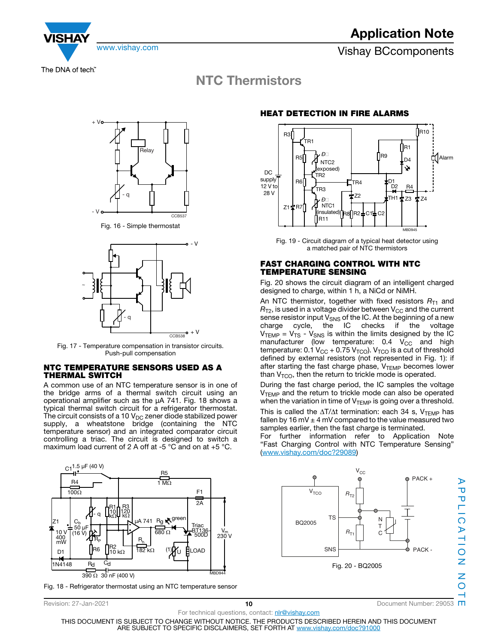

The DNA of tech"

### **NTC Thermistors**



Fig. 16 - Simple thermostat



Fig. 17 - Temperature compensation in transistor circuits. Push-pull compensation

### **NTC TEMPERATURE SENSORS USED AS A THERMAL SWITCH**

A common use of an NTC temperature sensor is in one of the bridge arms of a thermal switch circuit using an operational amplifier such as the μA 741. Fig. 18 shows a typical thermal switch circuit for a refrigerator thermostat. The circuit consists of a 10  $V_{DC}$  zener diode stabilized power supply, a wheatstone bridge (containing the NTC temperature sensor) and an integrated comparator circuit controlling a triac. The circuit is designed to switch a maximum load current of 2 A off at -5 °C and on at +5 °C.



Fig. 18 - Refrigerator thermostat using an NTC temperature sensor

### **HEAT DETECTION IN FIRE ALARMS**



Fig. 19 - Circuit diagram of a typical heat detector using a matched pair of NTC thermistors

### **FAST CHARGING CONTROL WITH NTC TEMPERATURE SENSING**

Fig. 20 shows the circuit diagram of an intelligent charged designed to charge, within 1 h, a NiCd or NiMH.

An NTC thermistor, together with fixed resistors  $R_{T1}$  and  $R_{T2}$ , is used in a voltage divider between  $V_{CC}$  and the current sense resistor input  $V_{\text{SNS}}$  of the IC. At the beginning of a new charge cycle, the IC checks if the voltage cycle, the IC checks if the voltage  $\bm{\mathsf{V}}_\mathsf{TEMP}$  =  $\bm{\mathsf{V}}_\mathsf{TS}$  -  $\bm{\mathsf{V}}_\mathsf{SNS}$  is within the limits designed by the IC manufacturer (low temperature: 0.4  $V_{\rm CC}$  and high temperature:  $0.1$  V<sub>CC</sub> + 0.75 V<sub>TCO</sub>). V<sub>TCO</sub> is a cut of threshold defined by external resistors (not represented in Fig. 1): if after starting the fast charge phase, V<sub>TEMP</sub> becomes lower than  $V<sub>TCO</sub>$ , then the return to trickle mode is operated.

During the fast charge period, the IC samples the voltage V<sub>TEMP</sub> and the return to trickle mode can also be operated when the variation in time of  $V_{\text{TEMP}}$  is going over a threshold.

This is called the  $\Delta T/\Delta t$  termination: each 34 s, V<sub>TEMP</sub> has fallen by 16 mV  $\pm$  4 mV compared to the value measured two samples earlier, then the fast charge is terminated.

For further information refer to Application Note "Fast Charging Control with NTC Temperature Sensing" (www.vishay.com/doc?29089)